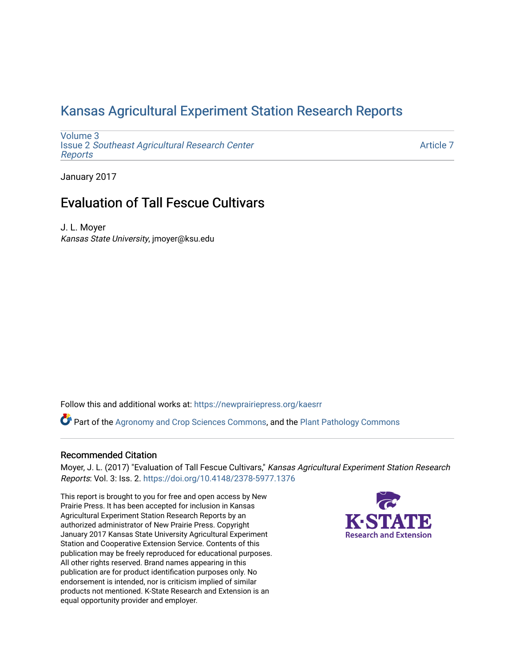# [Kansas Agricultural Experiment Station Research Reports](https://newprairiepress.org/kaesrr)

[Volume 3](https://newprairiepress.org/kaesrr/vol3) Issue 2 [Southeast Agricultural Research Center](https://newprairiepress.org/kaesrr/vol3/iss2) [Reports](https://newprairiepress.org/kaesrr/vol3/iss2)

[Article 7](https://newprairiepress.org/kaesrr/vol3/iss2/7) 

January 2017

# Evaluation of Tall Fescue Cultivars

J. L. Moyer Kansas State University, jmoyer@ksu.edu

Follow this and additional works at: [https://newprairiepress.org/kaesrr](https://newprairiepress.org/kaesrr?utm_source=newprairiepress.org%2Fkaesrr%2Fvol3%2Fiss2%2F7&utm_medium=PDF&utm_campaign=PDFCoverPages) 

Part of the [Agronomy and Crop Sciences Commons,](http://network.bepress.com/hgg/discipline/103?utm_source=newprairiepress.org%2Fkaesrr%2Fvol3%2Fiss2%2F7&utm_medium=PDF&utm_campaign=PDFCoverPages) and the [Plant Pathology Commons](http://network.bepress.com/hgg/discipline/107?utm_source=newprairiepress.org%2Fkaesrr%2Fvol3%2Fiss2%2F7&utm_medium=PDF&utm_campaign=PDFCoverPages) 

### Recommended Citation

Moyer, J. L. (2017) "Evaluation of Tall Fescue Cultivars," Kansas Agricultural Experiment Station Research Reports: Vol. 3: Iss. 2.<https://doi.org/10.4148/2378-5977.1376>

This report is brought to you for free and open access by New Prairie Press. It has been accepted for inclusion in Kansas Agricultural Experiment Station Research Reports by an authorized administrator of New Prairie Press. Copyright January 2017 Kansas State University Agricultural Experiment Station and Cooperative Extension Service. Contents of this publication may be freely reproduced for educational purposes. All other rights reserved. Brand names appearing in this publication are for product identification purposes only. No endorsement is intended, nor is criticism implied of similar products not mentioned. K-State Research and Extension is an equal opportunity provider and employer.

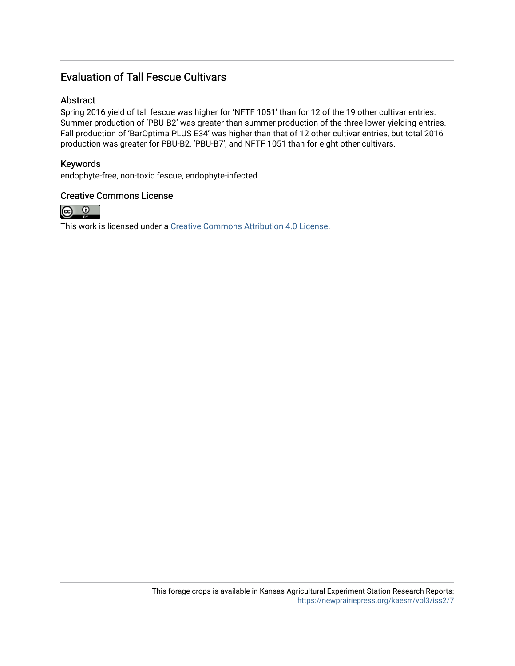### Evaluation of Tall Fescue Cultivars

### Abstract

Spring 2016 yield of tall fescue was higher for 'NFTF 1051' than for 12 of the 19 other cultivar entries. Summer production of 'PBU-B2' was greater than summer production of the three lower-yielding entries. Fall production of 'BarOptima PLUS E34' was higher than that of 12 other cultivar entries, but total 2016 production was greater for PBU-B2, 'PBU-B7', and NFTF 1051 than for eight other cultivars.

### Keywords

endophyte-free, non-toxic fescue, endophyte-infected

### Creative Commons License



This work is licensed under a [Creative Commons Attribution 4.0 License](https://creativecommons.org/licenses/by/4.0/).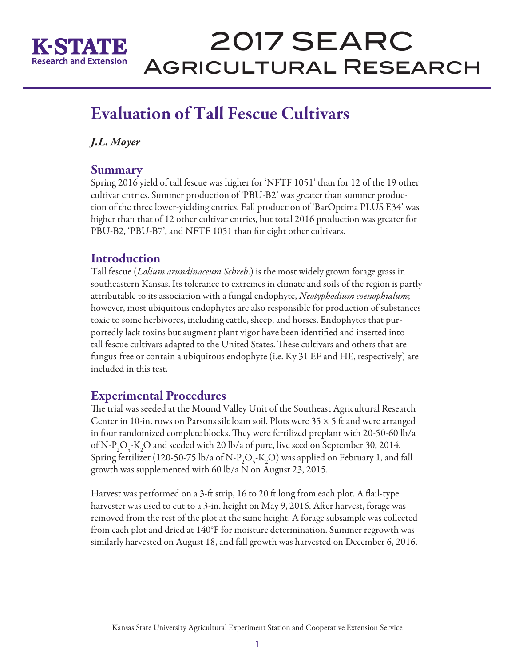

# 2017 SEARC Agricultural Research

# Evaluation of Tall Fescue Cultivars

*J.L. Moyer* 

### Summary

Spring 2016 yield of tall fescue was higher for 'NFTF 1051' than for 12 of the 19 other cultivar entries. Summer production of 'PBU-B2' was greater than summer production of the three lower-yielding entries. Fall production of 'BarOptima PLUS E34' was higher than that of 12 other cultivar entries, but total 2016 production was greater for PBU-B2, 'PBU-B7', and NFTF 1051 than for eight other cultivars.

### **Introduction**

Tall fescue (*Lolium arundinaceum Schreb*.) is the most widely grown forage grass in southeastern Kansas. Its tolerance to extremes in climate and soils of the region is partly attributable to its association with a fungal endophyte, *Neotyphodium coenophialum*; however, most ubiquitous endophytes are also responsible for production of substances toxic to some herbivores, including cattle, sheep, and horses. Endophytes that purportedly lack toxins but augment plant vigor have been identified and inserted into tall fescue cultivars adapted to the United States. These cultivars and others that are fungus-free or contain a ubiquitous endophyte (i.e. Ky 31 EF and HE, respectively) are included in this test.

## Experimental Procedures

The trial was seeded at the Mound Valley Unit of the Southeast Agricultural Research Center in 10-in. rows on Parsons silt loam soil. Plots were  $35 \times 5$  ft and were arranged in four randomized complete blocks. They were fertilized preplant with 20-50-60 lb/a of N-P<sub>2</sub>O<sub>5</sub>-K<sub>2</sub>O and seeded with 20 lb/a of pure, live seed on September 30, 2014. Spring fertilizer (120-50-75 lb/a of N-P<sub>2</sub>O<sub>5</sub>-K<sub>2</sub>O) was applied on February 1, and fall growth was supplemented with 60 lb/a N on August 23, 2015.

Harvest was performed on a 3-ft strip, 16 to 20 ft long from each plot. A flail-type harvester was used to cut to a 3-in. height on May 9, 2016. After harvest, forage was removed from the rest of the plot at the same height. A forage subsample was collected from each plot and dried at 140°F for moisture determination. Summer regrowth was similarly harvested on August 18, and fall growth was harvested on December 6, 2016.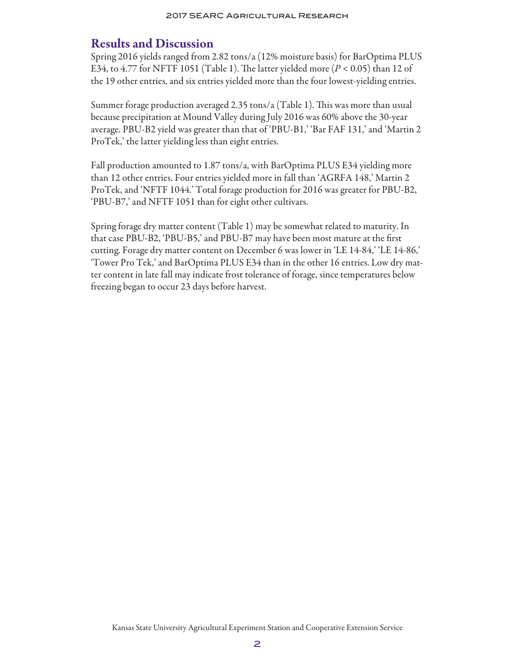### Results and Discussion

Spring 2016 yields ranged from 2.82 tons/a (12% moisture basis) for BarOptima PLUS E34, to 4.77 for NFTF 1051 (Table 1). The latter yielded more (*P* < 0.05) than 12 of the 19 other entries, and six entries yielded more than the four lowest-yielding entries.

Summer forage production averaged 2.35 tons/a (Table 1). This was more than usual because precipitation at Mound Valley during July 2016 was 60% above the 30-year average. PBU-B2 yield was greater than that of 'PBU-B1,' 'Bar FAF 131,' and 'Martin 2 ProTek,' the latter yielding less than eight entries.

Fall production amounted to 1.87 tons/a, with BarOptima PLUS E34 yielding more than 12 other entries. Four entries yielded more in fall than 'AGRFA 148,' Martin 2 ProTek, and 'NFTF 1044.' Total forage production for 2016 was greater for PBU-B2, 'PBU-B7,' and NFTF 1051 than for eight other cultivars.

Spring forage dry matter content (Table 1) may be somewhat related to maturity. In that case PBU-B2, 'PBU-B5,' and PBU-B7 may have been most mature at the first cutting. Forage dry matter content on December 6 was lower in 'LE 14-84,' 'LE 14-86,' 'Tower Pro Tek,' and BarOptima PLUS E34 than in the other 16 entries. Low dry matter content in late fall may indicate frost tolerance of forage, since temperatures below freezing began to occur 23 days before harvest.